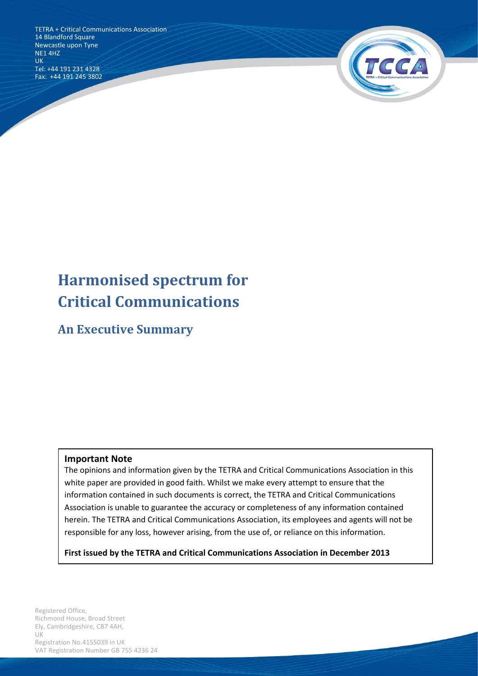TETRA + Critical Communications Association<br>14 Blandford Square 14 Blandford Square Newcastle upon Tyne NE1 4HZ UK Tel: +44 191 231 4328 Fax: +44 191 245 3802



# **Harmonised spectrum for Critical Communications**

**An Executive Summary**

#### **Important Note**

The opinions and information given by the TETRA and Critical Communications Association in this white paper are provided in good faith. Whilst we make every attempt to ensure that the information contained in such documents is correct, the TETRA and Critical Communications Association is unable to guarantee the accuracy or completeness of any information contained herein. The TETRA and Critical Communications Association, its employees and agents will not be responsible for any loss, however arising, from the use of, or reliance on this information.

**First issued by the TETRA and Critical Communications Association in December 2013**

Registration No.4155039 in UK Registered Office, Richmond House, Broad Street Ely, Cambridgeshire, CB7 4AH, UK VAT Registration Number GB 755 4236 24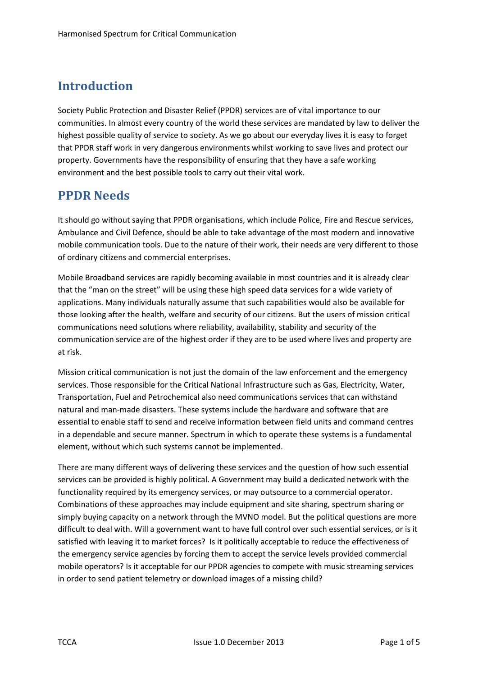# **Introduction**

Society Public Protection and Disaster Relief (PPDR) services are of vital importance to our communities. In almost every country of the world these services are mandated by law to deliver the highest possible quality of service to society. As we go about our everyday lives it is easy to forget that PPDR staff work in very dangerous environments whilst working to save lives and protect our property. Governments have the responsibility of ensuring that they have a safe working environment and the best possible tools to carry out their vital work.

## **PPDR Needs**

It should go without saying that PPDR organisations, which include Police, Fire and Rescue services, Ambulance and Civil Defence, should be able to take advantage of the most modern and innovative mobile communication tools. Due to the nature of their work, their needs are very different to those of ordinary citizens and commercial enterprises.

Mobile Broadband services are rapidly becoming available in most countries and it is already clear that the "man on the street" will be using these high speed data services for a wide variety of applications. Many individuals naturally assume that such capabilities would also be available for those looking after the health, welfare and security of our citizens. But the users of mission critical communications need solutions where reliability, availability, stability and security of the communication service are of the highest order if they are to be used where lives and property are at risk.

Mission critical communication is not just the domain of the law enforcement and the emergency services. Those responsible for the Critical National Infrastructure such as Gas, Electricity, Water, Transportation, Fuel and Petrochemical also need communications services that can withstand natural and man-made disasters. These systems include the hardware and software that are essential to enable staff to send and receive information between field units and command centres in a dependable and secure manner. Spectrum in which to operate these systems is a fundamental element, without which such systems cannot be implemented.

There are many different ways of delivering these services and the question of how such essential services can be provided is highly political. A Government may build a dedicated network with the functionality required by its emergency services, or may outsource to a commercial operator. Combinations of these approaches may include equipment and site sharing, spectrum sharing or simply buying capacity on a network through the MVNO model. But the political questions are more difficult to deal with. Will a government want to have full control over such essential services, or is it satisfied with leaving it to market forces? Is it politically acceptable to reduce the effectiveness of the emergency service agencies by forcing them to accept the service levels provided commercial mobile operators? Is it acceptable for our PPDR agencies to compete with music streaming services in order to send patient telemetry or download images of a missing child?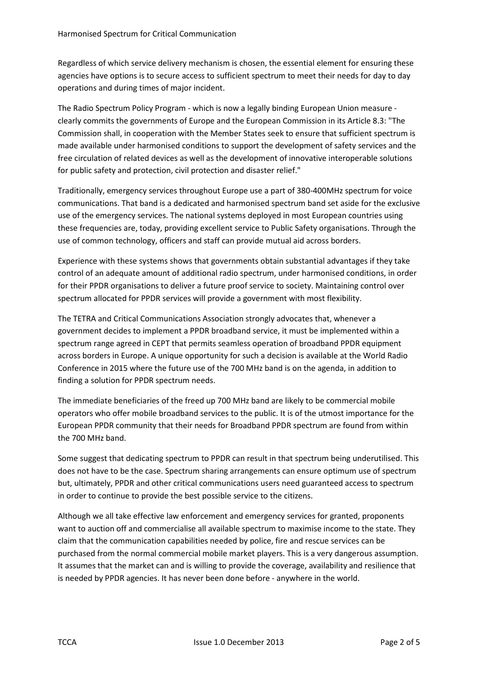Regardless of which service delivery mechanism is chosen, the essential element for ensuring these agencies have options is to secure access to sufficient spectrum to meet their needs for day to day operations and during times of major incident.

The Radio Spectrum Policy Program - which is now a legally binding European Union measure clearly commits the governments of Europe and the European Commission in its Article 8.3: "The Commission shall, in cooperation with the Member States seek to ensure that sufficient spectrum is made available under harmonised conditions to support the development of safety services and the free circulation of related devices as well as the development of innovative interoperable solutions for public safety and protection, civil protection and disaster relief."

Traditionally, emergency services throughout Europe use a part of 380-400MHz spectrum for voice communications. That band is a dedicated and harmonised spectrum band set aside for the exclusive use of the emergency services. The national systems deployed in most European countries using these frequencies are, today, providing excellent service to Public Safety organisations. Through the use of common technology, officers and staff can provide mutual aid across borders.

Experience with these systems shows that governments obtain substantial advantages if they take control of an adequate amount of additional radio spectrum, under harmonised conditions, in order for their PPDR organisations to deliver a future proof service to society. Maintaining control over spectrum allocated for PPDR services will provide a government with most flexibility.

The TETRA and Critical Communications Association strongly advocates that, whenever a government decides to implement a PPDR broadband service, it must be implemented within a spectrum range agreed in CEPT that permits seamless operation of broadband PPDR equipment across borders in Europe. A unique opportunity for such a decision is available at the World Radio Conference in 2015 where the future use of the 700 MHz band is on the agenda, in addition to finding a solution for PPDR spectrum needs.

The immediate beneficiaries of the freed up 700 MHz band are likely to be commercial mobile operators who offer mobile broadband services to the public. It is of the utmost importance for the European PPDR community that their needs for Broadband PPDR spectrum are found from within the 700 MHz band.

Some suggest that dedicating spectrum to PPDR can result in that spectrum being underutilised. This does not have to be the case. Spectrum sharing arrangements can ensure optimum use of spectrum but, ultimately, PPDR and other critical communications users need guaranteed access to spectrum in order to continue to provide the best possible service to the citizens.

Although we all take effective law enforcement and emergency services for granted, proponents want to auction off and commercialise all available spectrum to maximise income to the state. They claim that the communication capabilities needed by police, fire and rescue services can be purchased from the normal commercial mobile market players. This is a very dangerous assumption. It assumes that the market can and is willing to provide the coverage, availability and resilience that is needed by PPDR agencies. It has never been done before - anywhere in the world.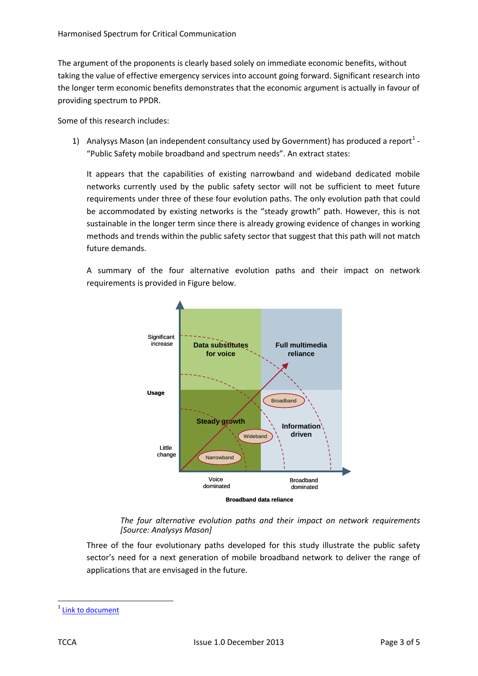The argument of the proponents is clearly based solely on immediate economic benefits, without taking the value of effective emergency services into account going forward. Significant research into the longer term economic benefits demonstrates that the economic argument is actually in favour of providing spectrum to PPDR.

Some of this research includes:

[1](#page-3-0)) Analysys Mason (an independent consultancy used by Government) has produced a report<sup>1</sup> -"Public Safety mobile broadband and spectrum needs". An extract states:

It appears that the capabilities of existing narrowband and wideband dedicated mobile networks currently used by the public safety sector will not be sufficient to meet future requirements under three of these four evolution paths. The only evolution path that could be accommodated by existing networks is the "steady growth" path. However, this is not sustainable in the longer term since there is already growing evidence of changes in working methods and trends within the public safety sector that suggest that this path will not match future demands.

A summary of the four alternative evolution paths and their impact on network requirements is provided in Figure below.



*The four alternative evolution paths and their impact on network requirements [Source: Analysys Mason]*

Three of the four evolutionary paths developed for this study illustrate the public safety sector's need for a next generation of mobile broadband network to deliver the range of applications that are envisaged in the future.

<span id="page-3-0"></span>[Link to document](http://www.tandcca.com/Library/Documents/Broadband/Analysys%20Mason%20final%20report%20for%20TETRA%20Association%20080310.pdf)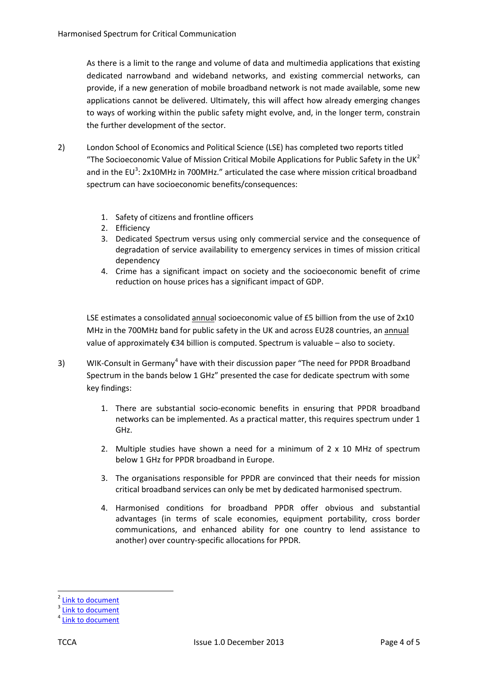As there is a limit to the range and volume of data and multimedia applications that existing dedicated narrowband and wideband networks, and existing commercial networks, can provide, if a new generation of mobile broadband network is not made available, some new applications cannot be delivered. Ultimately, this will affect how already emerging changes to ways of working within the public safety might evolve, and, in the longer term, constrain the further development of the sector.

- 2) London School of Economics and Political Science (LSE) has completed two reports titled "The Socioeconomic Value of Mission Critical Mobile Applications for Public Safety in the UK<sup>[2](#page-4-0)</sup> and in the EU<sup>[3](#page-4-1)</sup>: 2x10MHz in 700MHz." articulated the case where mission critical broadband spectrum can have socioeconomic benefits/consequences:
	- 1. Safety of citizens and frontline officers
	- 2. Efficiency
	- 3. Dedicated Spectrum versus using only commercial service and the consequence of degradation of service availability to emergency services in times of mission critical dependency
	- 4. Crime has a significant impact on society and the socioeconomic benefit of crime reduction on house prices has a significant impact of GDP.

LSE estimates a consolidated annual socioeconomic value of £5 billion from the use of 2x10 MHz in the 700MHz band for public safety in the UK and across EU28 countries, an annual value of approximately €34 billion is computed. Spectrum is valuable – also to society.

- 3) WIK-Consult in Germany<sup>[4](#page-4-2)</sup> have with their discussion paper "The need for PPDR Broadband Spectrum in the bands below 1 GHz" presented the case for dedicate spectrum with some key findings:
	- 1. There are substantial socio-economic benefits in ensuring that PPDR broadband networks can be implemented. As a practical matter, this requires spectrum under 1 GHz.
	- 2. Multiple studies have shown a need for a minimum of  $2 \times 10$  MHz of spectrum below 1 GHz for PPDR broadband in Europe.
	- 3. The organisations responsible for PPDR are convinced that their needs for mission critical broadband services can only be met by dedicated harmonised spectrum.
	- 4. Harmonised conditions for broadband PPDR offer obvious and substantial advantages (in terms of scale economies, equipment portability, cross border communications, and enhanced ability for one country to lend assistance to another) over country-specific allocations for PPDR.

<span id="page-4-0"></span>[Link to document](http://www.tandcca.com/Library/Documents/Broadband/LSE%20PPDR%20EU.PDF)<br>Link to document

<span id="page-4-1"></span>

<span id="page-4-2"></span>[Link to document](http://www.tandcca.com/Library/Documents/Broadband/WIK%20report%20on%20PPDR%20Spectrum.pdf)